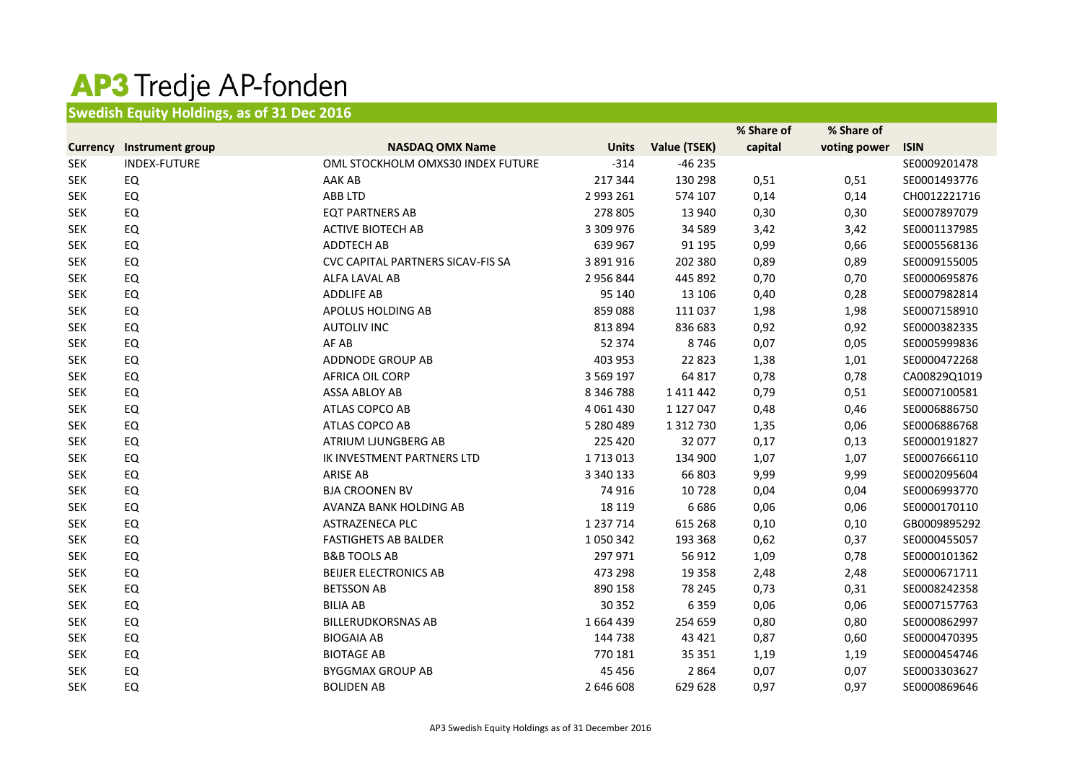## AP3 Tredje AP-fonden

## **Swedish Equity Holdings, as of 31 Dec 2016**

|                 |                     |                                   |               |               | % Share of | % Share of   |              |
|-----------------|---------------------|-----------------------------------|---------------|---------------|------------|--------------|--------------|
| <b>Currency</b> | Instrument group    | <b>NASDAQ OMX Name</b>            | <b>Units</b>  | Value (TSEK)  | capital    | voting power | <b>ISIN</b>  |
| <b>SEK</b>      | <b>INDEX-FUTURE</b> | OML STOCKHOLM OMXS30 INDEX FUTURE | $-314$        | $-46235$      |            |              | SE0009201478 |
| <b>SEK</b>      | EQ                  | AAK AB                            | 217 344       | 130 298       | 0,51       | 0,51         | SE0001493776 |
| <b>SEK</b>      | EQ                  | <b>ABB LTD</b>                    | 2 993 261     | 574 107       | 0,14       | 0,14         | CH0012221716 |
| <b>SEK</b>      | EQ                  | <b>EQT PARTNERS AB</b>            | 278 805       | 13 940        | 0,30       | 0,30         | SE0007897079 |
| <b>SEK</b>      | EQ                  | <b>ACTIVE BIOTECH AB</b>          | 3 309 976     | 34 5 89       | 3,42       | 3,42         | SE0001137985 |
| <b>SEK</b>      | EQ                  | <b>ADDTECH AB</b>                 | 639 967       | 91 195        | 0,99       | 0,66         | SE0005568136 |
| <b>SEK</b>      | EQ                  | CVC CAPITAL PARTNERS SICAV-FIS SA | 3 891 916     | 202 380       | 0,89       | 0,89         | SE0009155005 |
| <b>SEK</b>      | <b>EQ</b>           | ALFA LAVAL AB                     | 2 956 844     | 445 892       | 0,70       | 0,70         | SE0000695876 |
| <b>SEK</b>      | EQ                  | <b>ADDLIFE AB</b>                 | 95 140        | 13 10 6       | 0,40       | 0,28         | SE0007982814 |
| <b>SEK</b>      | EQ                  | APOLUS HOLDING AB                 | 859 088       | 111 037       | 1,98       | 1,98         | SE0007158910 |
| <b>SEK</b>      | EQ                  | <b>AUTOLIV INC</b>                | 813 894       | 836 683       | 0,92       | 0,92         | SE0000382335 |
| <b>SEK</b>      | EQ                  | AF AB                             | 52 374        | 8746          | 0,07       | 0,05         | SE0005999836 |
| <b>SEK</b>      | EQ                  | ADDNODE GROUP AB                  | 403 953       | 22 8 23       | 1,38       | 1,01         | SE0000472268 |
| <b>SEK</b>      | EQ                  | <b>AFRICA OIL CORP</b>            | 3 5 6 9 1 9 7 | 64 817        | 0,78       | 0,78         | CA00829Q1019 |
| <b>SEK</b>      | <b>EQ</b>           | ASSA ABLOY AB                     | 8 346 788     | 1 4 1 1 4 4 2 | 0,79       | 0,51         | SE0007100581 |
| <b>SEK</b>      | EQ                  | ATLAS COPCO AB                    | 4 0 6 1 4 3 0 | 1 127 047     | 0,48       | 0,46         | SE0006886750 |
| <b>SEK</b>      | <b>EQ</b>           | ATLAS COPCO AB                    | 5 280 489     | 1 3 1 2 7 3 0 | 1,35       | 0,06         | SE0006886768 |
| <b>SEK</b>      | EQ                  | ATRIUM LJUNGBERG AB               | 225 420       | 32 077        | 0,17       | 0,13         | SE0000191827 |
| <b>SEK</b>      | EQ                  | IK INVESTMENT PARTNERS LTD        | 1713013       | 134 900       | 1,07       | 1,07         | SE0007666110 |
| <b>SEK</b>      | EQ                  | <b>ARISE AB</b>                   | 3 340 133     | 66 803        | 9,99       | 9,99         | SE0002095604 |
| <b>SEK</b>      | EQ                  | <b>BJA CROONEN BV</b>             | 74 916        | 10728         | 0,04       | 0,04         | SE0006993770 |
| <b>SEK</b>      | EQ                  | AVANZA BANK HOLDING AB            | 18 119        | 6686          | 0,06       | 0,06         | SE0000170110 |
| <b>SEK</b>      | EQ                  | ASTRAZENECA PLC                   | 1 237 714     | 615 268       | 0,10       | 0,10         | GB0009895292 |
| <b>SEK</b>      | <b>EQ</b>           | <b>FASTIGHETS AB BALDER</b>       | 1050342       | 193 368       | 0,62       | 0,37         | SE0000455057 |
| <b>SEK</b>      | EQ                  | <b>B&amp;B TOOLS AB</b>           | 297 971       | 56 912        | 1,09       | 0,78         | SE0000101362 |
| <b>SEK</b>      | EQ                  | <b>BEIJER ELECTRONICS AB</b>      | 473 298       | 19 3 58       | 2,48       | 2,48         | SE0000671711 |
| <b>SEK</b>      | EQ                  | <b>BETSSON AB</b>                 | 890 158       | 78 245        | 0,73       | 0,31         | SE0008242358 |
| <b>SEK</b>      | EQ                  | <b>BILIA AB</b>                   | 30 352        | 6 3 5 9       | 0,06       | 0,06         | SE0007157763 |
| <b>SEK</b>      | EQ                  | <b>BILLERUDKORSNAS AB</b>         | 1664439       | 254 659       | 0,80       | 0,80         | SE0000862997 |
| <b>SEK</b>      | <b>EQ</b>           | <b>BIOGAIA AB</b>                 | 144 738       | 43 4 21       | 0,87       | 0,60         | SE0000470395 |
| <b>SEK</b>      | <b>EQ</b>           | <b>BIOTAGE AB</b>                 | 770 181       | 35 351        | 1,19       | 1,19         | SE0000454746 |
| <b>SEK</b>      | EQ                  | <b>BYGGMAX GROUP AB</b>           | 45 4 56       | 2 8 6 4       | 0,07       | 0,07         | SE0003303627 |
| <b>SEK</b>      | <b>EQ</b>           | <b>BOLIDEN AB</b>                 | 2 646 608     | 629 628       | 0,97       | 0,97         | SE0000869646 |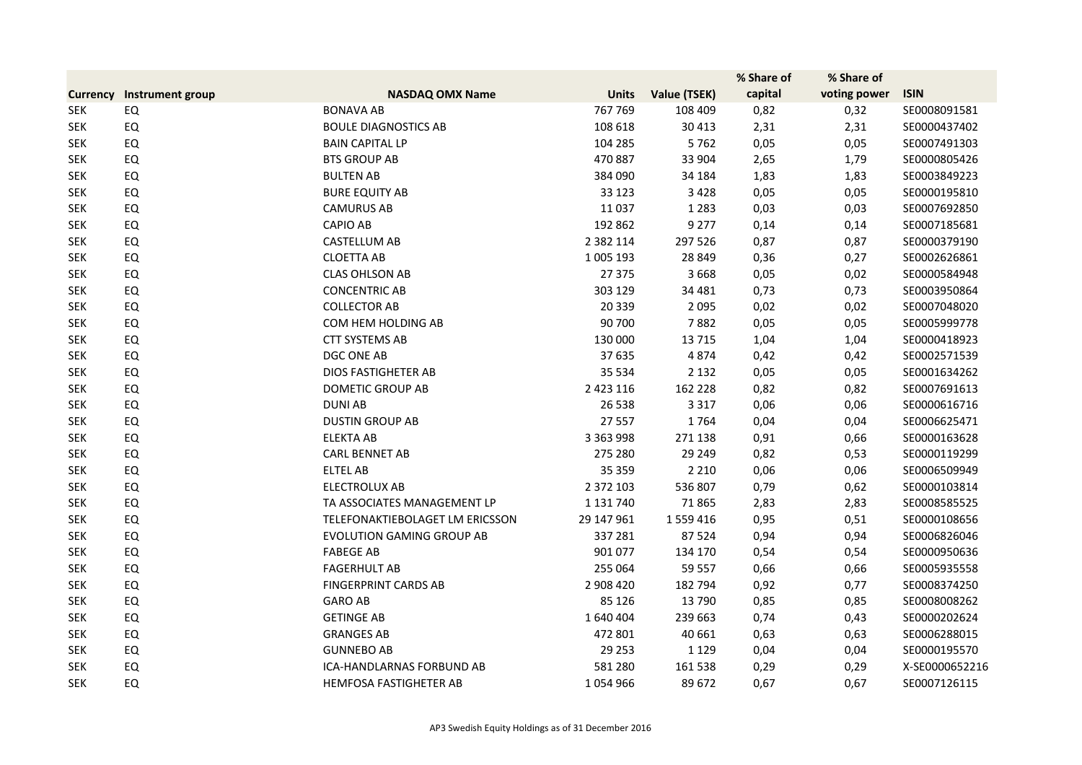|                 |                  |                                  |               |              | % Share of | % Share of   |                |
|-----------------|------------------|----------------------------------|---------------|--------------|------------|--------------|----------------|
| <b>Currency</b> | Instrument group | <b>NASDAQ OMX Name</b>           | <b>Units</b>  | Value (TSEK) | capital    | voting power | <b>ISIN</b>    |
| <b>SEK</b>      | EQ               | <b>BONAVA AB</b>                 | 767 769       | 108 409      | 0,82       | 0,32         | SE0008091581   |
| <b>SEK</b>      | EQ               | <b>BOULE DIAGNOSTICS AB</b>      | 108 618       | 30 413       | 2,31       | 2,31         | SE0000437402   |
| <b>SEK</b>      | EQ               | <b>BAIN CAPITAL LP</b>           | 104 285       | 5762         | 0,05       | 0,05         | SE0007491303   |
| <b>SEK</b>      | EQ               | <b>BTS GROUP AB</b>              | 470 887       | 33 904       | 2,65       | 1,79         | SE0000805426   |
| <b>SEK</b>      | EQ               | <b>BULTEN AB</b>                 | 384 090       | 34 184       | 1,83       | 1,83         | SE0003849223   |
| <b>SEK</b>      | EQ               | <b>BURE EQUITY AB</b>            | 33 1 23       | 3 4 2 8      | 0,05       | 0,05         | SE0000195810   |
| <b>SEK</b>      | EQ               | <b>CAMURUS AB</b>                | 11 0 37       | 1 2 8 3      | 0,03       | 0,03         | SE0007692850   |
| <b>SEK</b>      | EQ               | <b>CAPIO AB</b>                  | 192 862       | 9 2 7 7      | 0,14       | 0,14         | SE0007185681   |
| <b>SEK</b>      | EQ               | <b>CASTELLUM AB</b>              | 2 3 8 2 1 1 4 | 297 526      | 0,87       | 0,87         | SE0000379190   |
| <b>SEK</b>      | EQ               | <b>CLOETTA AB</b>                | 1 005 193     | 28 849       | 0,36       | 0,27         | SE0002626861   |
| <b>SEK</b>      | EQ               | <b>CLAS OHLSON AB</b>            | 27 375        | 3 6 6 8      | 0,05       | 0,02         | SE0000584948   |
| <b>SEK</b>      | EQ               | <b>CONCENTRIC AB</b>             | 303 129       | 34 481       | 0,73       | 0,73         | SE0003950864   |
| <b>SEK</b>      | EQ               | <b>COLLECTOR AB</b>              | 20 339        | 2 0 9 5      | 0,02       | 0,02         | SE0007048020   |
| <b>SEK</b>      | EQ               | COM HEM HOLDING AB               | 90 700        | 7882         | 0,05       | 0,05         | SE0005999778   |
| <b>SEK</b>      | EQ               | <b>CTT SYSTEMS AB</b>            | 130 000       | 13 7 15      | 1,04       | 1,04         | SE0000418923   |
| <b>SEK</b>      | EQ               | <b>DGC ONE AB</b>                | 37 635        | 4874         | 0,42       | 0,42         | SE0002571539   |
| <b>SEK</b>      | EQ               | <b>DIOS FASTIGHETER AB</b>       | 35 5 34       | 2 1 3 2      | 0,05       | 0,05         | SE0001634262   |
| <b>SEK</b>      | EQ               | <b>DOMETIC GROUP AB</b>          | 2 4 2 3 1 1 6 | 162 228      | 0,82       | 0,82         | SE0007691613   |
| <b>SEK</b>      | EQ               | <b>DUNIAB</b>                    | 26 538        | 3 3 1 7      | 0,06       | 0,06         | SE0000616716   |
| <b>SEK</b>      | EQ               | <b>DUSTIN GROUP AB</b>           | 27 557        | 1764         | 0,04       | 0,04         | SE0006625471   |
| <b>SEK</b>      | EQ               | <b>ELEKTA AB</b>                 | 3 3 6 3 9 9 8 | 271 138      | 0,91       | 0,66         | SE0000163628   |
| <b>SEK</b>      | EQ               | <b>CARL BENNET AB</b>            | 275 280       | 29 249       | 0,82       | 0,53         | SE0000119299   |
| <b>SEK</b>      | EQ               | <b>ELTEL AB</b>                  | 35 359        | 2 2 1 0      | 0,06       | 0,06         | SE0006509949   |
| <b>SEK</b>      | EQ               | <b>ELECTROLUX AB</b>             | 2 3 7 2 1 0 3 | 536 807      | 0,79       | 0,62         | SE0000103814   |
| <b>SEK</b>      | EQ               | TA ASSOCIATES MANAGEMENT LP      | 1 1 3 1 7 4 0 | 71 865       | 2,83       | 2,83         | SE0008585525   |
| <b>SEK</b>      | EQ               | TELEFONAKTIEBOLAGET LM ERICSSON  | 29 147 961    | 1 559 416    | 0,95       | 0,51         | SE0000108656   |
| <b>SEK</b>      | EQ               | <b>EVOLUTION GAMING GROUP AB</b> | 337 281       | 87 5 24      | 0,94       | 0,94         | SE0006826046   |
| <b>SEK</b>      | EQ               | <b>FABEGE AB</b>                 | 901 077       | 134 170      | 0,54       | 0,54         | SE0000950636   |
| <b>SEK</b>      | EQ               | <b>FAGERHULT AB</b>              | 255 064       | 59 557       | 0,66       | 0,66         | SE0005935558   |
| <b>SEK</b>      | EQ               | <b>FINGERPRINT CARDS AB</b>      | 2 908 420     | 182 794      | 0,92       | 0,77         | SE0008374250   |
| <b>SEK</b>      | EQ               | <b>GARO AB</b>                   | 85 1 26       | 13 790       | 0,85       | 0,85         | SE0008008262   |
| <b>SEK</b>      | EQ               | <b>GETINGE AB</b>                | 1640404       | 239 663      | 0,74       | 0,43         | SE0000202624   |
| <b>SEK</b>      | EQ               | <b>GRANGES AB</b>                | 472 801       | 40 661       | 0,63       | 0,63         | SE0006288015   |
| <b>SEK</b>      | EQ               | <b>GUNNEBO AB</b>                | 29 25 3       | 1 1 2 9      | 0,04       | 0,04         | SE0000195570   |
| <b>SEK</b>      | EQ               | ICA-HANDLARNAS FORBUND AB        | 581 280       | 161 538      | 0,29       | 0,29         | X-SE0000652216 |
| <b>SEK</b>      | EQ               | HEMFOSA FASTIGHETER AB           | 1054966       | 89 672       | 0,67       | 0,67         | SE0007126115   |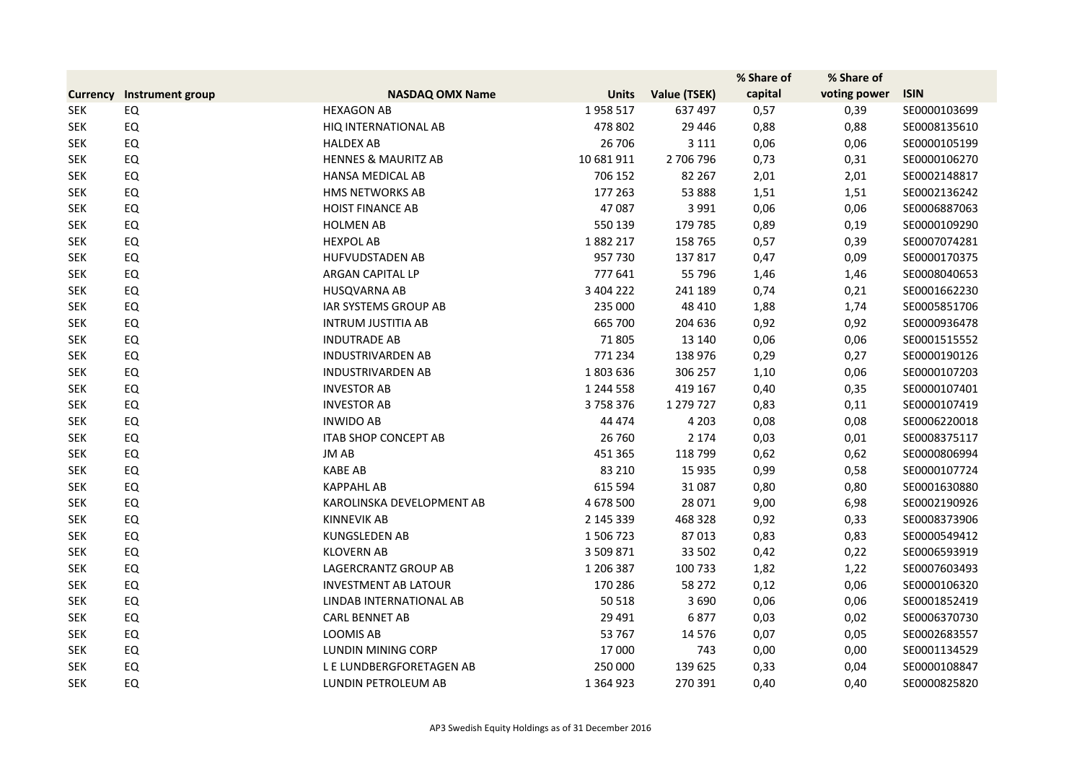|                 |                  |                                |               |              | % Share of | % Share of   |              |
|-----------------|------------------|--------------------------------|---------------|--------------|------------|--------------|--------------|
| <b>Currency</b> | Instrument group | <b>NASDAQ OMX Name</b>         | <b>Units</b>  | Value (TSEK) | capital    | voting power | <b>ISIN</b>  |
| <b>SEK</b>      | EQ               | <b>HEXAGON AB</b>              | 1958 517      | 637 497      | 0,57       | 0,39         | SE0000103699 |
| <b>SEK</b>      | EQ               | HIQ INTERNATIONAL AB           | 478 802       | 29 4 46      | 0,88       | 0,88         | SE0008135610 |
| <b>SEK</b>      | EQ               | <b>HALDEX AB</b>               | 26 706        | 3 1 1 1      | 0,06       | 0,06         | SE0000105199 |
| <b>SEK</b>      | <b>EQ</b>        | <b>HENNES &amp; MAURITZ AB</b> | 10 681 911    | 2 706 796    | 0,73       | 0,31         | SE0000106270 |
| <b>SEK</b>      | EQ               | <b>HANSA MEDICAL AB</b>        | 706 152       | 82 267       | 2,01       | 2,01         | SE0002148817 |
| <b>SEK</b>      | EQ               | HMS NETWORKS AB                | 177 263       | 53 888       | 1,51       | 1,51         | SE0002136242 |
| <b>SEK</b>      | EQ               | <b>HOIST FINANCE AB</b>        | 47 087        | 3 9 9 1      | 0,06       | 0,06         | SE0006887063 |
| <b>SEK</b>      | EQ               | <b>HOLMEN AB</b>               | 550 139       | 179 785      | 0,89       | 0,19         | SE0000109290 |
| <b>SEK</b>      | EQ               | <b>HEXPOL AB</b>               | 1882 217      | 158 765      | 0,57       | 0,39         | SE0007074281 |
| <b>SEK</b>      | EQ               | HUFVUDSTADEN AB                | 957 730       | 137 817      | 0,47       | 0,09         | SE0000170375 |
| <b>SEK</b>      | EQ               | ARGAN CAPITAL LP               | 777 641       | 55 796       | 1,46       | 1,46         | SE0008040653 |
| <b>SEK</b>      | EQ               | HUSQVARNA AB                   | 3 404 222     | 241 189      | 0,74       | 0,21         | SE0001662230 |
| <b>SEK</b>      | EQ               | <b>IAR SYSTEMS GROUP AB</b>    | 235 000       | 48 410       | 1,88       | 1,74         | SE0005851706 |
| <b>SEK</b>      | EQ               | <b>INTRUM JUSTITIA AB</b>      | 665 700       | 204 636      | 0,92       | 0,92         | SE0000936478 |
| <b>SEK</b>      | EQ               | <b>INDUTRADE AB</b>            | 71 805        | 13 140       | 0,06       | 0,06         | SE0001515552 |
| <b>SEK</b>      | EQ               | <b>INDUSTRIVARDEN AB</b>       | 771 234       | 138 976      | 0,29       | 0,27         | SE0000190126 |
| <b>SEK</b>      | EQ               | <b>INDUSTRIVARDEN AB</b>       | 1803636       | 306 257      | 1,10       | 0,06         | SE0000107203 |
| <b>SEK</b>      | EQ               | <b>INVESTOR AB</b>             | 1 244 558     | 419 167      | 0,40       | 0,35         | SE0000107401 |
| <b>SEK</b>      | EQ               | <b>INVESTOR AB</b>             | 3758376       | 1 279 727    | 0,83       | 0,11         | SE0000107419 |
| <b>SEK</b>      | EQ               | <b>INWIDO AB</b>               | 44 474        | 4 2 0 3      | 0,08       | 0,08         | SE0006220018 |
| <b>SEK</b>      | EQ               | <b>ITAB SHOP CONCEPT AB</b>    | 26 760        | 2 1 7 4      | 0,03       | 0,01         | SE0008375117 |
| <b>SEK</b>      | EQ               | JM AB                          | 451 365       | 118 799      | 0,62       | 0,62         | SE0000806994 |
| <b>SEK</b>      | EQ               | <b>KABE AB</b>                 | 83 210        | 15 9 35      | 0,99       | 0,58         | SE0000107724 |
| <b>SEK</b>      | EQ               | <b>KAPPAHL AB</b>              | 615 594       | 31 087       | 0,80       | 0,80         | SE0001630880 |
| <b>SEK</b>      | EQ               | KAROLINSKA DEVELOPMENT AB      | 4 678 500     | 28 0 71      | 9,00       | 6,98         | SE0002190926 |
| <b>SEK</b>      | EQ               | <b>KINNEVIK AB</b>             | 2 145 339     | 468 328      | 0,92       | 0,33         | SE0008373906 |
| <b>SEK</b>      | EQ               | <b>KUNGSLEDEN AB</b>           | 1506723       | 87013        | 0,83       | 0,83         | SE0000549412 |
| <b>SEK</b>      | EQ               | <b>KLOVERN AB</b>              | 3 509 871     | 33 502       | 0,42       | 0,22         | SE0006593919 |
| <b>SEK</b>      | EQ               | LAGERCRANTZ GROUP AB           | 1 206 387     | 100 733      | 1,82       | 1,22         | SE0007603493 |
| <b>SEK</b>      | EQ               | <b>INVESTMENT AB LATOUR</b>    | 170 286       | 58 272       | 0,12       | 0,06         | SE0000106320 |
| <b>SEK</b>      | EQ               | LINDAB INTERNATIONAL AB        | 50 518        | 3 6 9 0      | 0,06       | 0,06         | SE0001852419 |
| <b>SEK</b>      | EQ               | <b>CARL BENNET AB</b>          | 29 4 91       | 6877         | 0,03       | 0,02         | SE0006370730 |
| <b>SEK</b>      | EQ               | <b>LOOMIS AB</b>               | 53 767        | 14 5 7 6     | 0,07       | 0,05         | SE0002683557 |
| <b>SEK</b>      | EQ               | <b>LUNDIN MINING CORP</b>      | 17 000        | 743          | 0,00       | 0,00         | SE0001134529 |
| <b>SEK</b>      | EQ               | L E LUNDBERGFORETAGEN AB       | 250 000       | 139 625      | 0,33       | 0,04         | SE0000108847 |
| <b>SEK</b>      | EQ               | LUNDIN PETROLEUM AB            | 1 3 6 4 9 2 3 | 270 391      | 0,40       | 0,40         | SE0000825820 |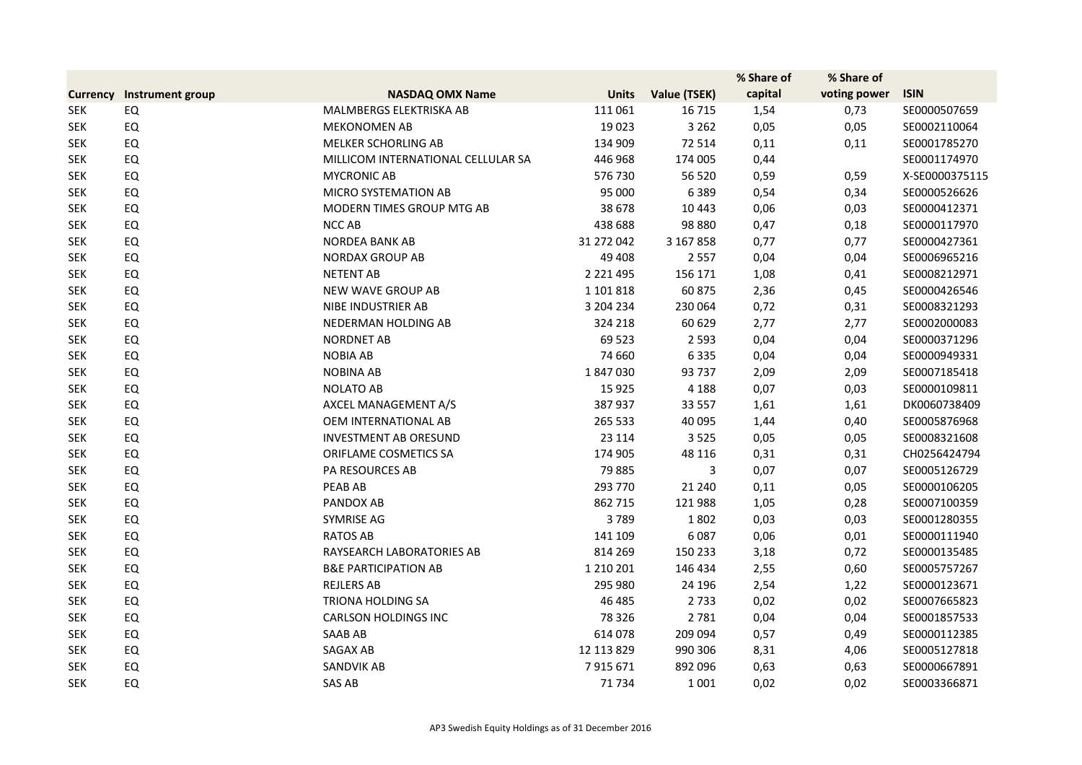|                 |                  |                                    |               |              | % Share of | % Share of   |                |
|-----------------|------------------|------------------------------------|---------------|--------------|------------|--------------|----------------|
| <b>Currency</b> | Instrument group | <b>NASDAQ OMX Name</b>             | <b>Units</b>  | Value (TSEK) | capital    | voting power | <b>ISIN</b>    |
| <b>SEK</b>      | EQ               | MALMBERGS ELEKTRISKA AB            | 111 061       | 16 7 15      | 1,54       | 0,73         | SE0000507659   |
| <b>SEK</b>      | EQ               | <b>MEKONOMEN AB</b>                | 19023         | 3 2 6 2      | 0,05       | 0,05         | SE0002110064   |
| <b>SEK</b>      | EQ               | MELKER SCHORLING AB                | 134 909       | 72 514       | 0,11       | 0,11         | SE0001785270   |
| <b>SEK</b>      | EQ               | MILLICOM INTERNATIONAL CELLULAR SA | 446 968       | 174 005      | 0,44       |              | SE0001174970   |
| <b>SEK</b>      | EQ               | <b>MYCRONIC AB</b>                 | 576 730       | 56 520       | 0,59       | 0,59         | X-SE0000375115 |
| <b>SEK</b>      | EQ               | <b>MICRO SYSTEMATION AB</b>        | 95 000        | 6389         | 0,54       | 0,34         | SE0000526626   |
| <b>SEK</b>      | EQ               | MODERN TIMES GROUP MTG AB          | 38 678        | 10 4 43      | 0,06       | 0,03         | SE0000412371   |
| <b>SEK</b>      | EQ               | NCC AB                             | 438 688       | 98 880       | 0,47       | 0,18         | SE0000117970   |
| <b>SEK</b>      | EQ               | NORDEA BANK AB                     | 31 272 042    | 3 167 858    | 0,77       | 0,77         | SE0000427361   |
| <b>SEK</b>      | EQ               | <b>NORDAX GROUP AB</b>             | 49 40 8       | 2 5 5 7      | 0,04       | 0,04         | SE0006965216   |
| <b>SEK</b>      | EQ               | <b>NETENT AB</b>                   | 2 2 2 1 4 9 5 | 156 171      | 1,08       | 0,41         | SE0008212971   |
| <b>SEK</b>      | EQ               | NEW WAVE GROUP AB                  | 1 101 818     | 60 875       | 2,36       | 0,45         | SE0000426546   |
| <b>SEK</b>      | EQ               | NIBE INDUSTRIER AB                 | 3 204 234     | 230 064      | 0,72       | 0,31         | SE0008321293   |
| <b>SEK</b>      | EQ               | NEDERMAN HOLDING AB                | 324 218       | 60 629       | 2,77       | 2,77         | SE0002000083   |
| <b>SEK</b>      | EQ               | <b>NORDNET AB</b>                  | 69 5 23       | 2 5 9 3      | 0,04       | 0,04         | SE0000371296   |
| <b>SEK</b>      | EQ               | <b>NOBIA AB</b>                    | 74 660        | 6335         | 0,04       | 0,04         | SE0000949331   |
| <b>SEK</b>      | EQ               | <b>NOBINA AB</b>                   | 1847030       | 93 737       | 2,09       | 2,09         | SE0007185418   |
| <b>SEK</b>      | EQ               | <b>NOLATO AB</b>                   | 15 9 25       | 4 1 8 8      | 0,07       | 0,03         | SE0000109811   |
| <b>SEK</b>      | EQ               | AXCEL MANAGEMENT A/S               | 387 937       | 33 557       | 1,61       | 1,61         | DK0060738409   |
| <b>SEK</b>      | EQ               | OEM INTERNATIONAL AB               | 265 533       | 40 095       | 1,44       | 0,40         | SE0005876968   |
| <b>SEK</b>      | EQ               | <b>INVESTMENT AB ORESUND</b>       | 23 1 14       | 3 5 2 5      | 0,05       | 0,05         | SE0008321608   |
| <b>SEK</b>      | EQ               | ORIFLAME COSMETICS SA              | 174 905       | 48 116       | 0,31       | 0,31         | CH0256424794   |
| <b>SEK</b>      | EQ               | PA RESOURCES AB                    | 79 885        | 3            | 0,07       | 0,07         | SE0005126729   |
| <b>SEK</b>      | EQ               | PEAB AB                            | 293 770       | 21 240       | 0,11       | 0,05         | SE0000106205   |
| <b>SEK</b>      | EQ               | PANDOX AB                          | 862 715       | 121 988      | 1,05       | 0,28         | SE0007100359   |
| <b>SEK</b>      | EQ               | SYMRISE AG                         | 3789          | 1802         | 0,03       | 0,03         | SE0001280355   |
| <b>SEK</b>      | EQ               | <b>RATOS AB</b>                    | 141 109       | 6087         | 0,06       | 0,01         | SE0000111940   |
| <b>SEK</b>      | EQ               | RAYSEARCH LABORATORIES AB          | 814 269       | 150 233      | 3,18       | 0,72         | SE0000135485   |
| <b>SEK</b>      | EQ               | <b>B&amp;E PARTICIPATION AB</b>    | 1 2 1 0 2 0 1 | 146 434      | 2,55       | 0,60         | SE0005757267   |
| <b>SEK</b>      | EQ               | <b>REJLERS AB</b>                  | 295 980       | 24 196       | 2,54       | 1,22         | SE0000123671   |
| <b>SEK</b>      | EQ               | TRIONA HOLDING SA                  | 46 485        | 2 7 3 3      | 0,02       | 0,02         | SE0007665823   |
| <b>SEK</b>      | EQ               | <b>CARLSON HOLDINGS INC</b>        | 78 3 26       | 2 7 8 1      | 0,04       | 0,04         | SE0001857533   |
| <b>SEK</b>      | EQ               | SAAB AB                            | 614 078       | 209 094      | 0,57       | 0,49         | SE0000112385   |
| <b>SEK</b>      | EQ               | SAGAX AB                           | 12 113 829    | 990 306      | 8,31       | 4,06         | SE0005127818   |
| <b>SEK</b>      | EQ               | SANDVIK AB                         | 7915671       | 892 096      | 0,63       | 0,63         | SE0000667891   |
| <b>SEK</b>      | EQ               | SAS AB                             | 71 734        | 1 0 0 1      | 0,02       | 0,02         | SE0003366871   |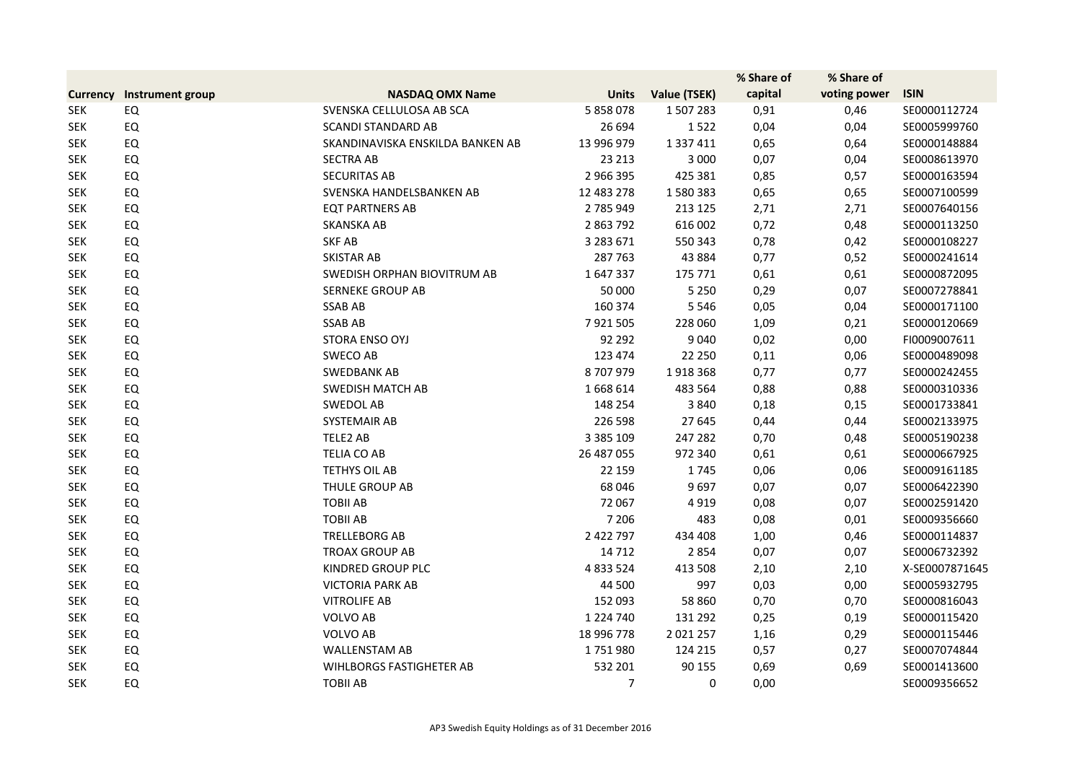|                 |                  |                                  |               |               | % Share of | % Share of   |                |
|-----------------|------------------|----------------------------------|---------------|---------------|------------|--------------|----------------|
| <b>Currency</b> | Instrument group | <b>NASDAQ OMX Name</b>           | <b>Units</b>  | Value (TSEK)  | capital    | voting power | <b>ISIN</b>    |
| <b>SEK</b>      | EQ               | SVENSKA CELLULOSA AB SCA         | 5 858 078     | 1507283       | 0,91       | 0,46         | SE0000112724   |
| <b>SEK</b>      | <b>EQ</b>        | <b>SCANDI STANDARD AB</b>        | 26 694        | 1522          | 0,04       | 0,04         | SE0005999760   |
| <b>SEK</b>      | EQ               | SKANDINAVISKA ENSKILDA BANKEN AB | 13 996 979    | 1 3 3 7 4 1 1 | 0,65       | 0,64         | SE0000148884   |
| <b>SEK</b>      | EQ               | <b>SECTRA AB</b>                 | 23 213        | 3 0 0 0       | 0,07       | 0,04         | SE0008613970   |
| <b>SEK</b>      | EQ               | <b>SECURITAS AB</b>              | 2 966 395     | 425 381       | 0,85       | 0,57         | SE0000163594   |
| <b>SEK</b>      | EQ               | SVENSKA HANDELSBANKEN AB         | 12 483 278    | 1580383       | 0,65       | 0,65         | SE0007100599   |
| <b>SEK</b>      | EQ               | <b>EQT PARTNERS AB</b>           | 2 785 949     | 213 125       | 2,71       | 2,71         | SE0007640156   |
| <b>SEK</b>      | EQ               | SKANSKA AB                       | 2 863 792     | 616 002       | 0,72       | 0,48         | SE0000113250   |
| <b>SEK</b>      | EQ               | <b>SKF AB</b>                    | 3 283 671     | 550 343       | 0,78       | 0,42         | SE0000108227   |
| <b>SEK</b>      | EQ               | SKISTAR AB                       | 287 763       | 43 8 84       | 0,77       | 0,52         | SE0000241614   |
| <b>SEK</b>      | EQ               | SWEDISH ORPHAN BIOVITRUM AB      | 1647337       | 175 771       | 0,61       | 0,61         | SE0000872095   |
| <b>SEK</b>      | EQ               | <b>SERNEKE GROUP AB</b>          | 50 000        | 5 2 5 0       | 0,29       | 0,07         | SE0007278841   |
| <b>SEK</b>      | EQ               | <b>SSAB AB</b>                   | 160 374       | 5 5 4 6       | 0,05       | 0,04         | SE0000171100   |
| <b>SEK</b>      | EQ               | <b>SSAB AB</b>                   | 7921505       | 228 060       | 1,09       | 0,21         | SE0000120669   |
| <b>SEK</b>      | EQ               | STORA ENSO OYJ                   | 92 292        | 9 0 4 0       | 0,02       | 0,00         | FI0009007611   |
| <b>SEK</b>      | EQ               | SWECO AB                         | 123 474       | 22 250        | 0,11       | 0,06         | SE0000489098   |
| <b>SEK</b>      | EQ               | <b>SWEDBANK AB</b>               | 8707979       | 1918368       | 0,77       | 0,77         | SE0000242455   |
| <b>SEK</b>      | EQ               | <b>SWEDISH MATCH AB</b>          | 1668614       | 483 564       | 0,88       | 0,88         | SE0000310336   |
| <b>SEK</b>      | EQ               | SWEDOL AB                        | 148 254       | 3840          | 0,18       | 0,15         | SE0001733841   |
| <b>SEK</b>      | EQ               | SYSTEMAIR AB                     | 226 598       | 27 645        | 0,44       | 0,44         | SE0002133975   |
| <b>SEK</b>      | EQ               | TELE2 AB                         | 3 3 8 5 1 0 9 | 247 282       | 0,70       | 0,48         | SE0005190238   |
| <b>SEK</b>      | EQ               | TELIA CO AB                      | 26 487 055    | 972 340       | 0,61       | 0,61         | SE0000667925   |
| <b>SEK</b>      | EQ               | <b>TETHYS OIL AB</b>             | 22 159        | 1745          | 0,06       | 0,06         | SE0009161185   |
| <b>SEK</b>      | EQ               | THULE GROUP AB                   | 68 046        | 9697          | 0,07       | 0,07         | SE0006422390   |
| <b>SEK</b>      | EQ               | <b>TOBILAB</b>                   | 72 067        | 4919          | 0,08       | 0,07         | SE0002591420   |
| <b>SEK</b>      | EQ               | <b>TOBILAB</b>                   | 7 2 0 6       | 483           | 0,08       | 0,01         | SE0009356660   |
| <b>SEK</b>      | EQ               | TRELLEBORG AB                    | 2 422 797     | 434 408       | 1,00       | 0,46         | SE0000114837   |
| <b>SEK</b>      | EQ               | <b>TROAX GROUP AB</b>            | 14 7 12       | 2854          | 0,07       | 0,07         | SE0006732392   |
| <b>SEK</b>      | EQ               | KINDRED GROUP PLC                | 4 8 3 5 2 4   | 413 508       | 2,10       | 2,10         | X-SE0007871645 |
| <b>SEK</b>      | EQ               | <b>VICTORIA PARK AB</b>          | 44 500        | 997           | 0,03       | 0,00         | SE0005932795   |
| <b>SEK</b>      | EQ               | <b>VITROLIFE AB</b>              | 152 093       | 58 860        | 0,70       | 0,70         | SE0000816043   |
| <b>SEK</b>      | EQ               | VOLVO AB                         | 1 2 2 4 7 4 0 | 131 292       | 0,25       | 0,19         | SE0000115420   |
| <b>SEK</b>      | EQ               | VOLVO AB                         | 18 996 778    | 2 0 2 1 2 5 7 | 1,16       | 0,29         | SE0000115446   |
| <b>SEK</b>      | EQ               | <b>WALLENSTAM AB</b>             | 1751980       | 124 215       | 0,57       | 0,27         | SE0007074844   |
| <b>SEK</b>      | EQ               | WIHLBORGS FASTIGHETER AB         | 532 201       | 90 155        | 0,69       | 0,69         | SE0001413600   |
| <b>SEK</b>      | EQ               | <b>TOBILAB</b>                   | 7             | 0             | 0,00       |              | SE0009356652   |